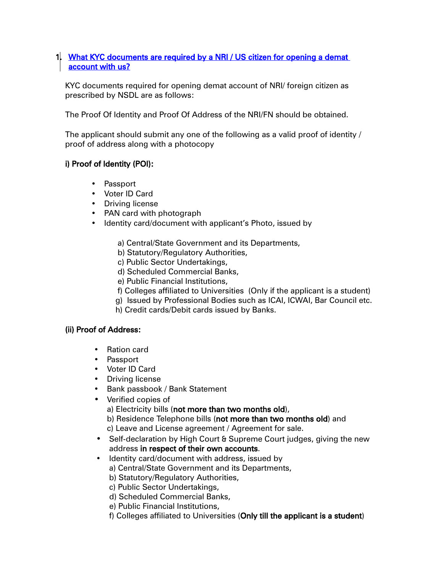## 1. What KYC documents are required by a NRI / US citizen for opening a demat account with us?

KYC documents required for opening demat account of NRI/ foreign citizen as prescribed by NSDL are as follows:

The Proof Of Identity and Proof Of Address of the NRI/FN should be obtained.

The applicant should submit any one of the following as a valid proof of identity / proof of address along with a photocopy

## i) Proof of Identity (POI):

- Passport
- Voter ID Card
- Driving license
- PAN card with photograph
- Identity card/document with applicant's Photo, issued by
	- a) Central/State Government and its Departments,
	- b) Statutory/Regulatory Authorities,
	- c) Public Sector Undertakings,
	- d) Scheduled Commercial Banks,
	- e) Public Financial Institutions,
	- f) Colleges affiliated to Universities (Only if the applicant is a student)
	- g) Issued by Professional Bodies such as ICAI, ICWAI, Bar Council etc.
	- h) Credit cards/Debit cards issued by Banks.

## (ii) Proof of Address:

- Ration card
- Passport
- Voter ID Card
- Driving license
- Bank passbook / Bank Statement
- Verified copies of a) Electricity bills (not more than two months old), b) Residence Telephone bills (not more than two months old) and c) Leave and License agreement / Agreement for sale.
- Self-declaration by High Court & Supreme Court judges, giving the new address in respect of their own accounts.
- Identity card/document with address, issued by
	- a) Central/State Government and its Departments,
	- b) Statutory/Regulatory Authorities,
	- c) Public Sector Undertakings,
	- d) Scheduled Commercial Banks,
	- e) Public Financial Institutions,
	- f) Colleges affiliated to Universities (Only till the applicant is a student)